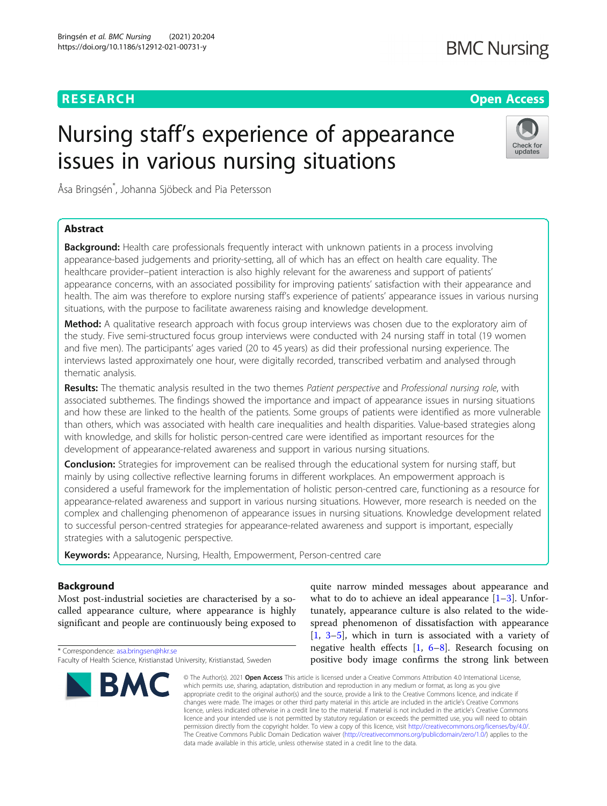# **RESEARCH CHEAR CHEAR CHEAR CHEAR CHEAR CHEAP CONTROL**

# **BMC Nursing**

Check for updates

# Nursing staff's experience of appearance issues in various nursing situations

Åsa Bringsén\* , Johanna Sjöbeck and Pia Petersson

# Abstract

**Background:** Health care professionals frequently interact with unknown patients in a process involving appearance-based judgements and priority-setting, all of which has an effect on health care equality. The healthcare provider–patient interaction is also highly relevant for the awareness and support of patients' appearance concerns, with an associated possibility for improving patients' satisfaction with their appearance and health. The aim was therefore to explore nursing staff's experience of patients' appearance issues in various nursing situations, with the purpose to facilitate awareness raising and knowledge development.

Method: A qualitative research approach with focus group interviews was chosen due to the exploratory aim of the study. Five semi-structured focus group interviews were conducted with 24 nursing staff in total (19 women and five men). The participants' ages varied (20 to 45 years) as did their professional nursing experience. The interviews lasted approximately one hour, were digitally recorded, transcribed verbatim and analysed through thematic analysis.

Results: The thematic analysis resulted in the two themes Patient perspective and Professional nursing role, with associated subthemes. The findings showed the importance and impact of appearance issues in nursing situations and how these are linked to the health of the patients. Some groups of patients were identified as more vulnerable than others, which was associated with health care inequalities and health disparities. Value-based strategies along with knowledge, and skills for holistic person-centred care were identified as important resources for the development of appearance-related awareness and support in various nursing situations.

**Conclusion:** Strategies for improvement can be realised through the educational system for nursing staff, but mainly by using collective reflective learning forums in different workplaces. An empowerment approach is considered a useful framework for the implementation of holistic person-centred care, functioning as a resource for appearance-related awareness and support in various nursing situations. However, more research is needed on the complex and challenging phenomenon of appearance issues in nursing situations. Knowledge development related to successful person-centred strategies for appearance-related awareness and support is important, especially strategies with a salutogenic perspective.

Keywords: Appearance, Nursing, Health, Empowerment, Person-centred care

# Background

Most post-industrial societies are characterised by a socalled appearance culture, where appearance is highly significant and people are continuously being exposed to

\* Correspondence: [asa.bringsen@hkr.se](mailto:asa.bringsen@hkr.se) Faculty of Health Science, Kristianstad University, Kristianstad, Sweden



quite narrow minded messages about appearance and what to do to achieve an ideal appearance  $[1-3]$  $[1-3]$  $[1-3]$  $[1-3]$ . Unfortunately, appearance culture is also related to the widespread phenomenon of dissatisfaction with appearance [[1,](#page-9-0) [3](#page-10-0)–[5](#page-10-0)], which in turn is associated with a variety of negative health effects  $[1, 6-8]$  $[1, 6-8]$  $[1, 6-8]$  $[1, 6-8]$  $[1, 6-8]$  $[1, 6-8]$ . Research focusing on positive body image confirms the strong link between

© The Author(s), 2021 **Open Access** This article is licensed under a Creative Commons Attribution 4.0 International License, which permits use, sharing, adaptation, distribution and reproduction in any medium or format, as long as you give appropriate credit to the original author(s) and the source, provide a link to the Creative Commons licence, and indicate if changes were made. The images or other third party material in this article are included in the article's Creative Commons licence, unless indicated otherwise in a credit line to the material. If material is not included in the article's Creative Commons licence and your intended use is not permitted by statutory regulation or exceeds the permitted use, you will need to obtain permission directly from the copyright holder. To view a copy of this licence, visit [http://creativecommons.org/licenses/by/4.0/.](http://creativecommons.org/licenses/by/4.0/) The Creative Commons Public Domain Dedication waiver [\(http://creativecommons.org/publicdomain/zero/1.0/](http://creativecommons.org/publicdomain/zero/1.0/)) applies to the data made available in this article, unless otherwise stated in a credit line to the data.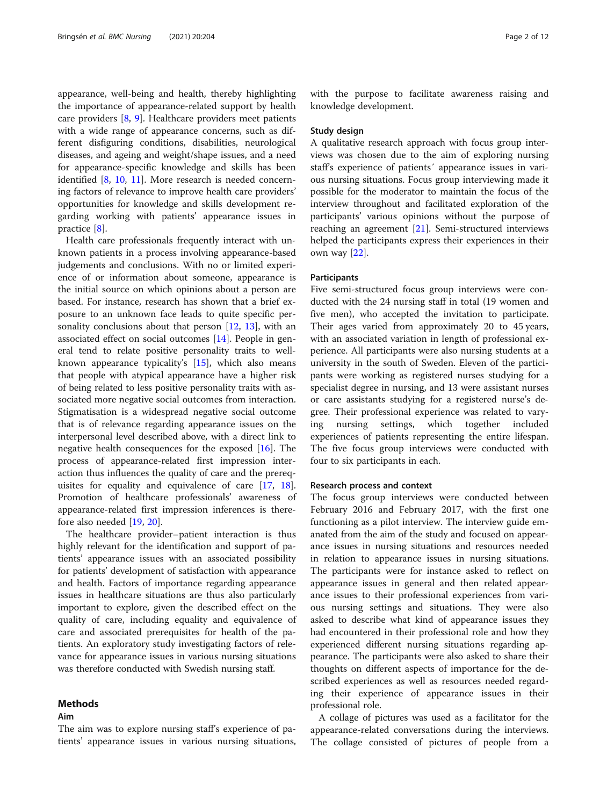appearance, well-being and health, thereby highlighting the importance of appearance-related support by health care providers [[8,](#page-10-0) [9](#page-10-0)]. Healthcare providers meet patients with a wide range of appearance concerns, such as different disfiguring conditions, disabilities, neurological diseases, and ageing and weight/shape issues, and a need for appearance-specific knowledge and skills has been identified [[8,](#page-10-0) [10,](#page-10-0) [11](#page-10-0)]. More research is needed concerning factors of relevance to improve health care providers' opportunities for knowledge and skills development regarding working with patients' appearance issues in practice [[8\]](#page-10-0).

Health care professionals frequently interact with unknown patients in a process involving appearance-based judgements and conclusions. With no or limited experience of or information about someone, appearance is the initial source on which opinions about a person are based. For instance, research has shown that a brief exposure to an unknown face leads to quite specific personality conclusions about that person [[12](#page-10-0), [13](#page-10-0)], with an associated effect on social outcomes [\[14](#page-10-0)]. People in general tend to relate positive personality traits to wellknown appearance typicality's [\[15](#page-10-0)], which also means that people with atypical appearance have a higher risk of being related to less positive personality traits with associated more negative social outcomes from interaction. Stigmatisation is a widespread negative social outcome that is of relevance regarding appearance issues on the interpersonal level described above, with a direct link to negative health consequences for the exposed [\[16](#page-10-0)]. The process of appearance-related first impression interaction thus influences the quality of care and the prerequisites for equality and equivalence of care [[17](#page-10-0), [18](#page-10-0)]. Promotion of healthcare professionals' awareness of appearance-related first impression inferences is therefore also needed [[19](#page-10-0), [20](#page-10-0)].

The healthcare provider–patient interaction is thus highly relevant for the identification and support of patients' appearance issues with an associated possibility for patients' development of satisfaction with appearance and health. Factors of importance regarding appearance issues in healthcare situations are thus also particularly important to explore, given the described effect on the quality of care, including equality and equivalence of care and associated prerequisites for health of the patients. An exploratory study investigating factors of relevance for appearance issues in various nursing situations was therefore conducted with Swedish nursing staff.

# Methods

# Aim

The aim was to explore nursing staff's experience of patients' appearance issues in various nursing situations, with the purpose to facilitate awareness raising and knowledge development.

### Study design

A qualitative research approach with focus group interviews was chosen due to the aim of exploring nursing staff's experience of patients´ appearance issues in various nursing situations. Focus group interviewing made it possible for the moderator to maintain the focus of the interview throughout and facilitated exploration of the participants' various opinions without the purpose of reaching an agreement [[21\]](#page-10-0). Semi-structured interviews helped the participants express their experiences in their own way [[22\]](#page-10-0).

### Participants

Five semi-structured focus group interviews were conducted with the 24 nursing staff in total (19 women and five men), who accepted the invitation to participate. Their ages varied from approximately 20 to 45 years, with an associated variation in length of professional experience. All participants were also nursing students at a university in the south of Sweden. Eleven of the participants were working as registered nurses studying for a specialist degree in nursing, and 13 were assistant nurses or care assistants studying for a registered nurse's degree. Their professional experience was related to varying nursing settings, which together included experiences of patients representing the entire lifespan. The five focus group interviews were conducted with four to six participants in each.

#### Research process and context

The focus group interviews were conducted between February 2016 and February 2017, with the first one functioning as a pilot interview. The interview guide emanated from the aim of the study and focused on appearance issues in nursing situations and resources needed in relation to appearance issues in nursing situations. The participants were for instance asked to reflect on appearance issues in general and then related appearance issues to their professional experiences from various nursing settings and situations. They were also asked to describe what kind of appearance issues they had encountered in their professional role and how they experienced different nursing situations regarding appearance. The participants were also asked to share their thoughts on different aspects of importance for the described experiences as well as resources needed regarding their experience of appearance issues in their professional role.

A collage of pictures was used as a facilitator for the appearance-related conversations during the interviews. The collage consisted of pictures of people from a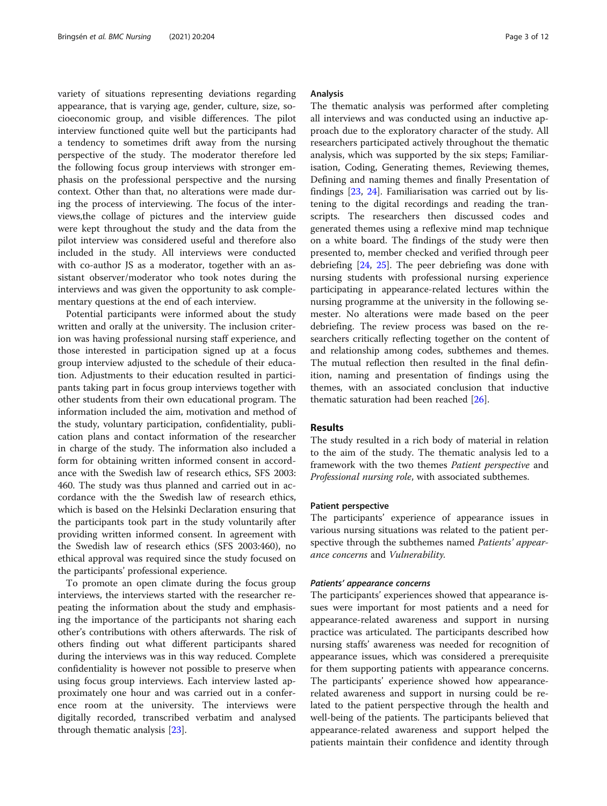variety of situations representing deviations regarding appearance, that is varying age, gender, culture, size, socioeconomic group, and visible differences. The pilot interview functioned quite well but the participants had a tendency to sometimes drift away from the nursing perspective of the study. The moderator therefore led the following focus group interviews with stronger emphasis on the professional perspective and the nursing context. Other than that, no alterations were made during the process of interviewing. The focus of the interviews,the collage of pictures and the interview guide were kept throughout the study and the data from the pilot interview was considered useful and therefore also included in the study. All interviews were conducted with co-author JS as a moderator, together with an assistant observer/moderator who took notes during the interviews and was given the opportunity to ask complementary questions at the end of each interview.

Potential participants were informed about the study written and orally at the university. The inclusion criterion was having professional nursing staff experience, and those interested in participation signed up at a focus group interview adjusted to the schedule of their education. Adjustments to their education resulted in participants taking part in focus group interviews together with other students from their own educational program. The information included the aim, motivation and method of the study, voluntary participation, confidentiality, publication plans and contact information of the researcher in charge of the study. The information also included a form for obtaining written informed consent in accordance with the Swedish law of research ethics, SFS 2003: 460. The study was thus planned and carried out in accordance with the the Swedish law of research ethics, which is based on the Helsinki Declaration ensuring that the participants took part in the study voluntarily after providing written informed consent. In agreement with the Swedish law of research ethics (SFS 2003:460), no ethical approval was required since the study focused on the participants' professional experience.

To promote an open climate during the focus group interviews, the interviews started with the researcher repeating the information about the study and emphasising the importance of the participants not sharing each other's contributions with others afterwards. The risk of others finding out what different participants shared during the interviews was in this way reduced. Complete confidentiality is however not possible to preserve when using focus group interviews. Each interview lasted approximately one hour and was carried out in a conference room at the university. The interviews were digitally recorded, transcribed verbatim and analysed through thematic analysis [\[23](#page-10-0)].

# Analysis

The thematic analysis was performed after completing all interviews and was conducted using an inductive approach due to the exploratory character of the study. All researchers participated actively throughout the thematic analysis, which was supported by the six steps; Familiarisation, Coding, Generating themes, Reviewing themes, Defining and naming themes and finally Presentation of findings [\[23](#page-10-0), [24](#page-10-0)]. Familiarisation was carried out by listening to the digital recordings and reading the transcripts. The researchers then discussed codes and generated themes using a reflexive mind map technique on a white board. The findings of the study were then presented to, member checked and verified through peer debriefing [\[24,](#page-10-0) [25](#page-10-0)]. The peer debriefing was done with nursing students with professional nursing experience participating in appearance-related lectures within the nursing programme at the university in the following semester. No alterations were made based on the peer debriefing. The review process was based on the researchers critically reflecting together on the content of and relationship among codes, subthemes and themes. The mutual reflection then resulted in the final definition, naming and presentation of findings using the themes, with an associated conclusion that inductive thematic saturation had been reached [\[26](#page-10-0)].

# Results

The study resulted in a rich body of material in relation to the aim of the study. The thematic analysis led to a framework with the two themes Patient perspective and Professional nursing role, with associated subthemes.

# Patient perspective

The participants' experience of appearance issues in various nursing situations was related to the patient perspective through the subthemes named Patients' appearance concerns and Vulnerability.

### Patients' appearance concerns

The participants' experiences showed that appearance issues were important for most patients and a need for appearance-related awareness and support in nursing practice was articulated. The participants described how nursing staffs' awareness was needed for recognition of appearance issues, which was considered a prerequisite for them supporting patients with appearance concerns. The participants' experience showed how appearancerelated awareness and support in nursing could be related to the patient perspective through the health and well-being of the patients. The participants believed that appearance-related awareness and support helped the patients maintain their confidence and identity through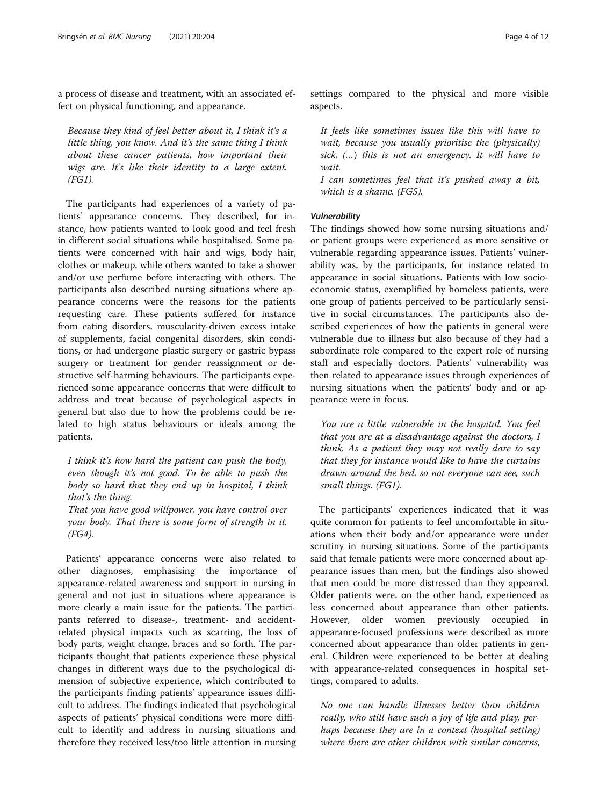a process of disease and treatment, with an associated effect on physical functioning, and appearance.

Because they kind of feel better about it, I think it's a little thing, you know. And it's the same thing I think about these cancer patients, how important their wigs are. It's like their identity to a large extent. (FG1).

The participants had experiences of a variety of patients' appearance concerns. They described, for instance, how patients wanted to look good and feel fresh in different social situations while hospitalised. Some patients were concerned with hair and wigs, body hair, clothes or makeup, while others wanted to take a shower and/or use perfume before interacting with others. The participants also described nursing situations where appearance concerns were the reasons for the patients requesting care. These patients suffered for instance from eating disorders, muscularity-driven excess intake of supplements, facial congenital disorders, skin conditions, or had undergone plastic surgery or gastric bypass surgery or treatment for gender reassignment or destructive self-harming behaviours. The participants experienced some appearance concerns that were difficult to address and treat because of psychological aspects in general but also due to how the problems could be related to high status behaviours or ideals among the patients.

I think it's how hard the patient can push the body, even though it's not good. To be able to push the body so hard that they end up in hospital, I think that's the thing.

That you have good willpower, you have control over your body. That there is some form of strength in it. (FG4).

Patients' appearance concerns were also related to other diagnoses, emphasising the importance of appearance-related awareness and support in nursing in general and not just in situations where appearance is more clearly a main issue for the patients. The participants referred to disease-, treatment- and accidentrelated physical impacts such as scarring, the loss of body parts, weight change, braces and so forth. The participants thought that patients experience these physical changes in different ways due to the psychological dimension of subjective experience, which contributed to the participants finding patients' appearance issues difficult to address. The findings indicated that psychological aspects of patients' physical conditions were more difficult to identify and address in nursing situations and therefore they received less/too little attention in nursing

settings compared to the physical and more visible aspects.

It feels like sometimes issues like this will have to wait, because you usually prioritise the (physically) sick, (…) this is not an emergency. It will have to wait.

I can sometimes feel that it's pushed away a bit, which is a shame. (FG5).

The findings showed how some nursing situations and/ or patient groups were experienced as more sensitive or vulnerable regarding appearance issues. Patients' vulnerability was, by the participants, for instance related to appearance in social situations. Patients with low socioeconomic status, exemplified by homeless patients, were one group of patients perceived to be particularly sensitive in social circumstances. The participants also described experiences of how the patients in general were vulnerable due to illness but also because of they had a subordinate role compared to the expert role of nursing staff and especially doctors. Patients' vulnerability was then related to appearance issues through experiences of nursing situations when the patients' body and or appearance were in focus.

You are a little vulnerable in the hospital. You feel that you are at a disadvantage against the doctors, I think. As a patient they may not really dare to say that they for instance would like to have the curtains drawn around the bed, so not everyone can see, such small things. (FG1).

The participants' experiences indicated that it was quite common for patients to feel uncomfortable in situations when their body and/or appearance were under scrutiny in nursing situations. Some of the participants said that female patients were more concerned about appearance issues than men, but the findings also showed that men could be more distressed than they appeared. Older patients were, on the other hand, experienced as less concerned about appearance than other patients. However, older women previously occupied in appearance-focused professions were described as more concerned about appearance than older patients in general. Children were experienced to be better at dealing with appearance-related consequences in hospital settings, compared to adults.

No one can handle illnesses better than children really, who still have such a joy of life and play, perhaps because they are in a context (hospital setting) where there are other children with similar concerns,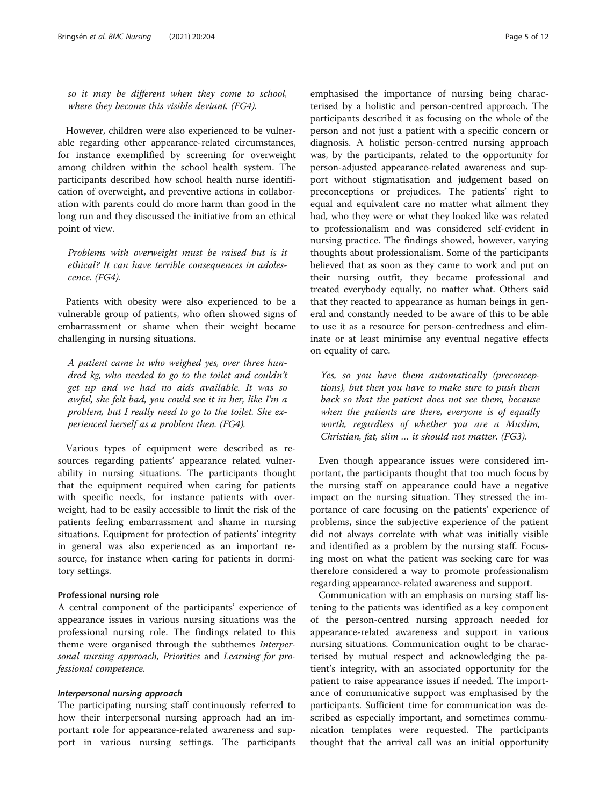so it may be different when they come to school, where they become this visible deviant. (FG4).

However, children were also experienced to be vulnerable regarding other appearance-related circumstances, for instance exemplified by screening for overweight among children within the school health system. The participants described how school health nurse identification of overweight, and preventive actions in collaboration with parents could do more harm than good in the long run and they discussed the initiative from an ethical point of view.

Problems with overweight must be raised but is it ethical? It can have terrible consequences in adolescence. (FG4).

Patients with obesity were also experienced to be a vulnerable group of patients, who often showed signs of embarrassment or shame when their weight became challenging in nursing situations.

A patient came in who weighed yes, over three hundred kg, who needed to go to the toilet and couldn't get up and we had no aids available. It was so awful, she felt bad, you could see it in her, like I'm a problem, but I really need to go to the toilet. She experienced herself as a problem then. (FG4).

Various types of equipment were described as resources regarding patients' appearance related vulnerability in nursing situations. The participants thought that the equipment required when caring for patients with specific needs, for instance patients with overweight, had to be easily accessible to limit the risk of the patients feeling embarrassment and shame in nursing situations. Equipment for protection of patients' integrity in general was also experienced as an important resource, for instance when caring for patients in dormitory settings.

### Professional nursing role

A central component of the participants' experience of appearance issues in various nursing situations was the professional nursing role. The findings related to this theme were organised through the subthemes Interpersonal nursing approach, Priorities and Learning for professional competence.

The participating nursing staff continuously referred to how their interpersonal nursing approach had an important role for appearance-related awareness and support in various nursing settings. The participants

emphasised the importance of nursing being characterised by a holistic and person-centred approach. The participants described it as focusing on the whole of the person and not just a patient with a specific concern or diagnosis. A holistic person-centred nursing approach was, by the participants, related to the opportunity for person-adjusted appearance-related awareness and support without stigmatisation and judgement based on preconceptions or prejudices. The patients' right to equal and equivalent care no matter what ailment they had, who they were or what they looked like was related to professionalism and was considered self-evident in nursing practice. The findings showed, however, varying thoughts about professionalism. Some of the participants believed that as soon as they came to work and put on their nursing outfit, they became professional and treated everybody equally, no matter what. Others said that they reacted to appearance as human beings in general and constantly needed to be aware of this to be able to use it as a resource for person-centredness and eliminate or at least minimise any eventual negative effects on equality of care.

Yes, so you have them automatically (preconceptions), but then you have to make sure to push them back so that the patient does not see them, because when the patients are there, everyone is of equally worth, regardless of whether you are a Muslim, Christian, fat, slim … it should not matter. (FG3).

Even though appearance issues were considered important, the participants thought that too much focus by the nursing staff on appearance could have a negative impact on the nursing situation. They stressed the importance of care focusing on the patients' experience of problems, since the subjective experience of the patient did not always correlate with what was initially visible and identified as a problem by the nursing staff. Focusing most on what the patient was seeking care for was therefore considered a way to promote professionalism regarding appearance-related awareness and support.

Communication with an emphasis on nursing staff listening to the patients was identified as a key component of the person-centred nursing approach needed for appearance-related awareness and support in various nursing situations. Communication ought to be characterised by mutual respect and acknowledging the patient's integrity, with an associated opportunity for the patient to raise appearance issues if needed. The importance of communicative support was emphasised by the participants. Sufficient time for communication was described as especially important, and sometimes communication templates were requested. The participants thought that the arrival call was an initial opportunity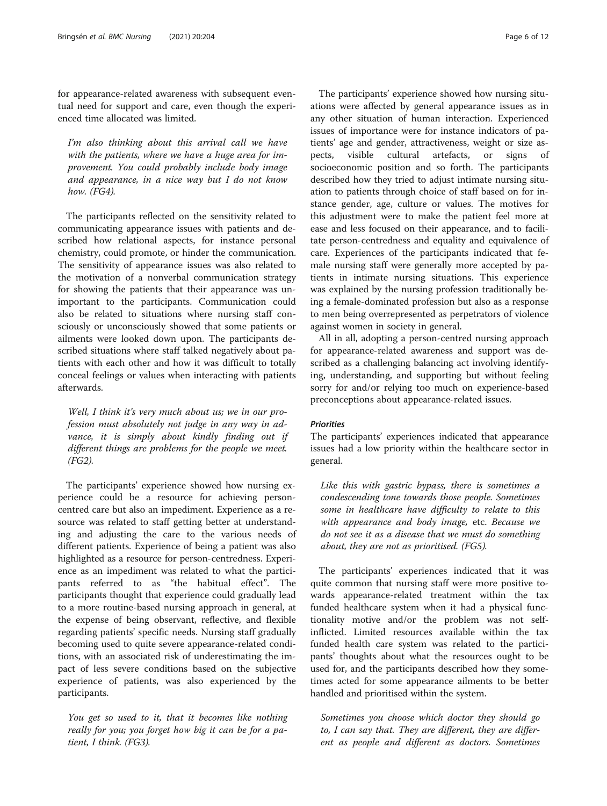for appearance-related awareness with subsequent eventual need for support and care, even though the experienced time allocated was limited.

I'm also thinking about this arrival call we have with the patients, where we have a huge area for improvement. You could probably include body image and appearance, in a nice way but I do not know how. (FG4).

The participants reflected on the sensitivity related to communicating appearance issues with patients and described how relational aspects, for instance personal chemistry, could promote, or hinder the communication. The sensitivity of appearance issues was also related to the motivation of a nonverbal communication strategy for showing the patients that their appearance was unimportant to the participants. Communication could also be related to situations where nursing staff consciously or unconsciously showed that some patients or ailments were looked down upon. The participants described situations where staff talked negatively about patients with each other and how it was difficult to totally conceal feelings or values when interacting with patients afterwards.

Well, I think it's very much about us; we in our profession must absolutely not judge in any way in advance, it is simply about kindly finding out if different things are problems for the people we meet. (FG2).

The participants' experience showed how nursing experience could be a resource for achieving personcentred care but also an impediment. Experience as a resource was related to staff getting better at understanding and adjusting the care to the various needs of different patients. Experience of being a patient was also highlighted as a resource for person-centredness. Experience as an impediment was related to what the participants referred to as "the habitual effect". The participants thought that experience could gradually lead to a more routine-based nursing approach in general, at the expense of being observant, reflective, and flexible regarding patients' specific needs. Nursing staff gradually becoming used to quite severe appearance-related conditions, with an associated risk of underestimating the impact of less severe conditions based on the subjective experience of patients, was also experienced by the participants.

You get so used to it, that it becomes like nothing really for you; you forget how big it can be for a patient, I think. (FG3).

The participants' experience showed how nursing situations were affected by general appearance issues as in any other situation of human interaction. Experienced issues of importance were for instance indicators of patients' age and gender, attractiveness, weight or size aspects, visible cultural artefacts, or signs of socioeconomic position and so forth. The participants described how they tried to adjust intimate nursing situation to patients through choice of staff based on for instance gender, age, culture or values. The motives for this adjustment were to make the patient feel more at ease and less focused on their appearance, and to facilitate person-centredness and equality and equivalence of care. Experiences of the participants indicated that female nursing staff were generally more accepted by patients in intimate nursing situations. This experience was explained by the nursing profession traditionally being a female-dominated profession but also as a response to men being overrepresented as perpetrators of violence against women in society in general.

All in all, adopting a person-centred nursing approach for appearance-related awareness and support was described as a challenging balancing act involving identifying, understanding, and supporting but without feeling sorry for and/or relying too much on experience-based preconceptions about appearance-related issues.

The participants' experiences indicated that appearance issues had a low priority within the healthcare sector in general.

Like this with gastric bypass, there is sometimes a condescending tone towards those people. Sometimes some in healthcare have difficulty to relate to this with appearance and body image, etc. Because we do not see it as a disease that we must do something about, they are not as prioritised. (FG5).

The participants' experiences indicated that it was quite common that nursing staff were more positive towards appearance-related treatment within the tax funded healthcare system when it had a physical functionality motive and/or the problem was not selfinflicted. Limited resources available within the tax funded health care system was related to the participants' thoughts about what the resources ought to be used for, and the participants described how they sometimes acted for some appearance ailments to be better handled and prioritised within the system.

Sometimes you choose which doctor they should go to, I can say that. They are different, they are different as people and different as doctors. Sometimes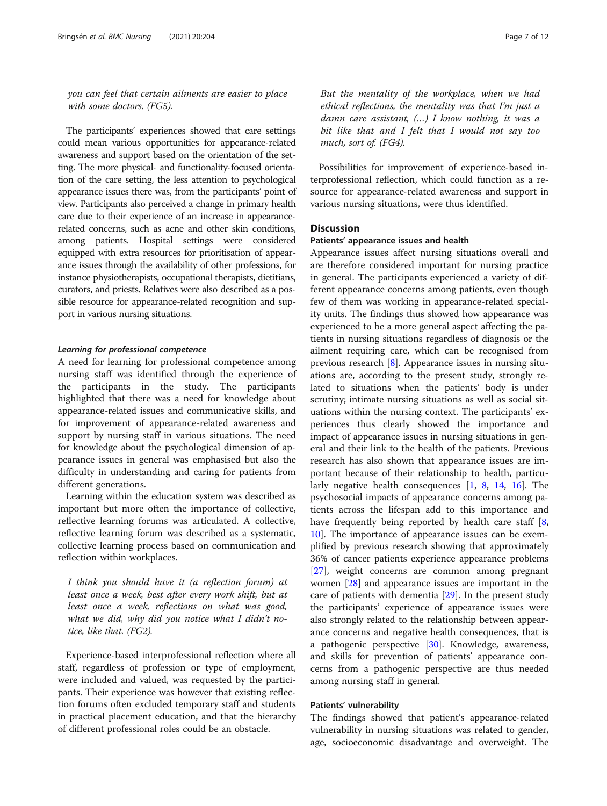you can feel that certain ailments are easier to place with some doctors. (FG5).

The participants' experiences showed that care settings could mean various opportunities for appearance-related awareness and support based on the orientation of the setting. The more physical- and functionality-focused orientation of the care setting, the less attention to psychological appearance issues there was, from the participants' point of view. Participants also perceived a change in primary health care due to their experience of an increase in appearancerelated concerns, such as acne and other skin conditions, among patients. Hospital settings were considered equipped with extra resources for prioritisation of appearance issues through the availability of other professions, for instance physiotherapists, occupational therapists, dietitians, curators, and priests. Relatives were also described as a possible resource for appearance-related recognition and support in various nursing situations.

Learning for professional competence A need for learning for professional competence among nursing staff was identified through the experience of the participants in the study. The participants highlighted that there was a need for knowledge about appearance-related issues and communicative skills, and for improvement of appearance-related awareness and support by nursing staff in various situations. The need for knowledge about the psychological dimension of appearance issues in general was emphasised but also the difficulty in understanding and caring for patients from different generations.

Learning within the education system was described as important but more often the importance of collective, reflective learning forums was articulated. A collective, reflective learning forum was described as a systematic, collective learning process based on communication and reflection within workplaces.

I think you should have it (a reflection forum) at least once a week, best after every work shift, but at least once a week, reflections on what was good, what we did, why did you notice what I didn't notice, like that. (FG2).

Experience-based interprofessional reflection where all staff, regardless of profession or type of employment, were included and valued, was requested by the participants. Their experience was however that existing reflection forums often excluded temporary staff and students in practical placement education, and that the hierarchy of different professional roles could be an obstacle.

But the mentality of the workplace, when we had ethical reflections, the mentality was that I'm just a damn care assistant, (…) I know nothing, it was a bit like that and I felt that I would not say too much, sort of. (FG4).

Possibilities for improvement of experience-based interprofessional reflection, which could function as a resource for appearance-related awareness and support in various nursing situations, were thus identified.

# **Discussion**

#### Patients' appearance issues and health

Appearance issues affect nursing situations overall and are therefore considered important for nursing practice in general. The participants experienced a variety of different appearance concerns among patients, even though few of them was working in appearance-related speciality units. The findings thus showed how appearance was experienced to be a more general aspect affecting the patients in nursing situations regardless of diagnosis or the ailment requiring care, which can be recognised from previous research [[8\]](#page-10-0). Appearance issues in nursing situations are, according to the present study, strongly related to situations when the patients' body is under scrutiny; intimate nursing situations as well as social situations within the nursing context. The participants' experiences thus clearly showed the importance and impact of appearance issues in nursing situations in general and their link to the health of the patients. Previous research has also shown that appearance issues are important because of their relationship to health, particularly negative health consequences [[1,](#page-9-0) [8,](#page-10-0) [14,](#page-10-0) [16\]](#page-10-0). The psychosocial impacts of appearance concerns among patients across the lifespan add to this importance and have frequently being reported by health care staff [\[8](#page-10-0), [10\]](#page-10-0). The importance of appearance issues can be exemplified by previous research showing that approximately 36% of cancer patients experience appearance problems [[27\]](#page-10-0), weight concerns are common among pregnant women [\[28](#page-10-0)] and appearance issues are important in the care of patients with dementia [[29\]](#page-10-0). In the present study the participants' experience of appearance issues were also strongly related to the relationship between appearance concerns and negative health consequences, that is a pathogenic perspective [[30\]](#page-10-0). Knowledge, awareness, and skills for prevention of patients' appearance concerns from a pathogenic perspective are thus needed among nursing staff in general.

# Patients' vulnerability

The findings showed that patient's appearance-related vulnerability in nursing situations was related to gender, age, socioeconomic disadvantage and overweight. The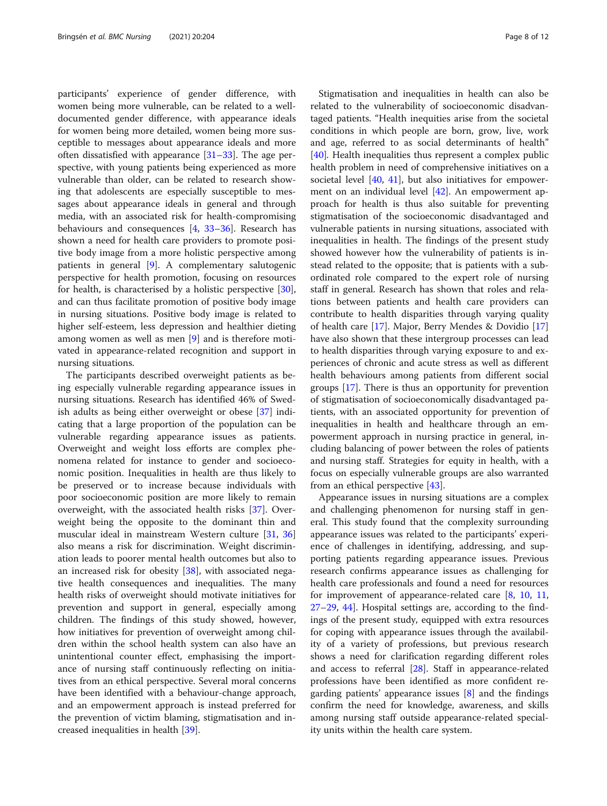participants' experience of gender difference, with women being more vulnerable, can be related to a welldocumented gender difference, with appearance ideals for women being more detailed, women being more susceptible to messages about appearance ideals and more often dissatisfied with appearance  $[31-33]$  $[31-33]$  $[31-33]$  $[31-33]$  $[31-33]$ . The age perspective, with young patients being experienced as more vulnerable than older, can be related to research showing that adolescents are especially susceptible to messages about appearance ideals in general and through media, with an associated risk for health-compromising behaviours and consequences [[4,](#page-10-0) [33](#page-10-0)–[36](#page-10-0)]. Research has shown a need for health care providers to promote positive body image from a more holistic perspective among patients in general [[9\]](#page-10-0). A complementary salutogenic perspective for health promotion, focusing on resources for health, is characterised by a holistic perspective [\[30](#page-10-0)], and can thus facilitate promotion of positive body image in nursing situations. Positive body image is related to higher self-esteem, less depression and healthier dieting among women as well as men [\[9](#page-10-0)] and is therefore motivated in appearance-related recognition and support in nursing situations.

The participants described overweight patients as being especially vulnerable regarding appearance issues in nursing situations. Research has identified 46% of Swedish adults as being either overweight or obese [[37](#page-10-0)] indicating that a large proportion of the population can be vulnerable regarding appearance issues as patients. Overweight and weight loss efforts are complex phenomena related for instance to gender and socioeconomic position. Inequalities in health are thus likely to be preserved or to increase because individuals with poor socioeconomic position are more likely to remain overweight, with the associated health risks [\[37](#page-10-0)]. Overweight being the opposite to the dominant thin and muscular ideal in mainstream Western culture [\[31](#page-10-0), [36](#page-10-0)] also means a risk for discrimination. Weight discrimination leads to poorer mental health outcomes but also to an increased risk for obesity [\[38](#page-10-0)], with associated negative health consequences and inequalities. The many health risks of overweight should motivate initiatives for prevention and support in general, especially among children. The findings of this study showed, however, how initiatives for prevention of overweight among children within the school health system can also have an unintentional counter effect, emphasising the importance of nursing staff continuously reflecting on initiatives from an ethical perspective. Several moral concerns have been identified with a behaviour-change approach, and an empowerment approach is instead preferred for the prevention of victim blaming, stigmatisation and increased inequalities in health [\[39](#page-10-0)].

Stigmatisation and inequalities in health can also be related to the vulnerability of socioeconomic disadvantaged patients. "Health inequities arise from the societal conditions in which people are born, grow, live, work and age, referred to as social determinants of health" [[40\]](#page-10-0). Health inequalities thus represent a complex public health problem in need of comprehensive initiatives on a societal level [[40,](#page-10-0) [41\]](#page-10-0), but also initiatives for empowerment on an individual level [\[42](#page-10-0)]. An empowerment approach for health is thus also suitable for preventing stigmatisation of the socioeconomic disadvantaged and vulnerable patients in nursing situations, associated with inequalities in health. The findings of the present study showed however how the vulnerability of patients is instead related to the opposite; that is patients with a subordinated role compared to the expert role of nursing staff in general. Research has shown that roles and relations between patients and health care providers can contribute to health disparities through varying quality of health care [\[17](#page-10-0)]. Major, Berry Mendes & Dovidio [[17](#page-10-0)] have also shown that these intergroup processes can lead to health disparities through varying exposure to and experiences of chronic and acute stress as well as different health behaviours among patients from different social groups [[17\]](#page-10-0). There is thus an opportunity for prevention of stigmatisation of socioeconomically disadvantaged patients, with an associated opportunity for prevention of inequalities in health and healthcare through an empowerment approach in nursing practice in general, including balancing of power between the roles of patients and nursing staff. Strategies for equity in health, with a focus on especially vulnerable groups are also warranted from an ethical perspective [[43\]](#page-10-0).

Appearance issues in nursing situations are a complex and challenging phenomenon for nursing staff in general. This study found that the complexity surrounding appearance issues was related to the participants' experience of challenges in identifying, addressing, and supporting patients regarding appearance issues. Previous research confirms appearance issues as challenging for health care professionals and found a need for resources for improvement of appearance-related care [[8,](#page-10-0) [10](#page-10-0), [11](#page-10-0), [27](#page-10-0)–[29](#page-10-0), [44](#page-11-0)]. Hospital settings are, according to the findings of the present study, equipped with extra resources for coping with appearance issues through the availability of a variety of professions, but previous research shows a need for clarification regarding different roles and access to referral [\[28](#page-10-0)]. Staff in appearance-related professions have been identified as more confident regarding patients' appearance issues [\[8](#page-10-0)] and the findings confirm the need for knowledge, awareness, and skills among nursing staff outside appearance-related speciality units within the health care system.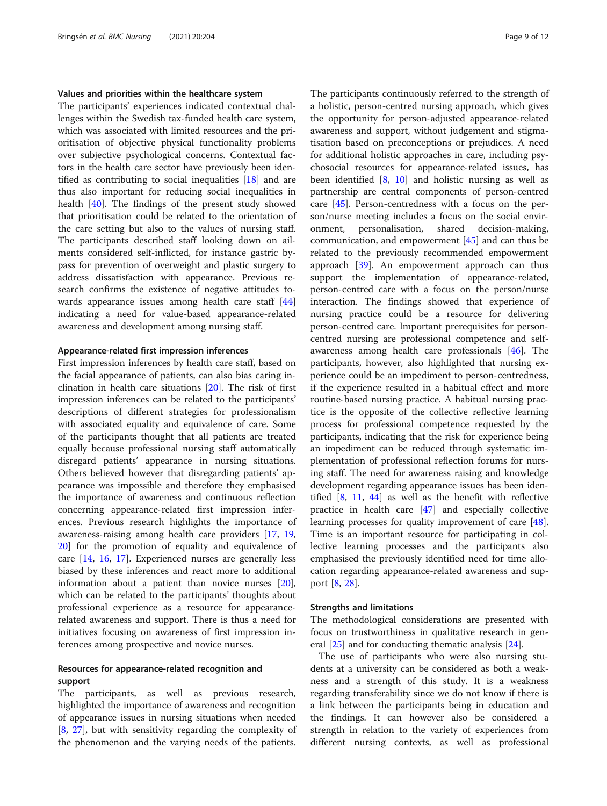### Values and priorities within the healthcare system

The participants' experiences indicated contextual challenges within the Swedish tax-funded health care system, which was associated with limited resources and the prioritisation of objective physical functionality problems over subjective psychological concerns. Contextual factors in the health care sector have previously been identified as contributing to social inequalities [[18\]](#page-10-0) and are thus also important for reducing social inequalities in health [[40\]](#page-10-0). The findings of the present study showed that prioritisation could be related to the orientation of the care setting but also to the values of nursing staff. The participants described staff looking down on ailments considered self-inflicted, for instance gastric bypass for prevention of overweight and plastic surgery to address dissatisfaction with appearance. Previous research confirms the existence of negative attitudes towards appearance issues among health care staff [[44](#page-11-0)] indicating a need for value-based appearance-related awareness and development among nursing staff.

# Appearance-related first impression inferences

First impression inferences by health care staff, based on the facial appearance of patients, can also bias caring inclination in health care situations [\[20](#page-10-0)]. The risk of first impression inferences can be related to the participants' descriptions of different strategies for professionalism with associated equality and equivalence of care. Some of the participants thought that all patients are treated equally because professional nursing staff automatically disregard patients' appearance in nursing situations. Others believed however that disregarding patients' appearance was impossible and therefore they emphasised the importance of awareness and continuous reflection concerning appearance-related first impression inferences. Previous research highlights the importance of awareness-raising among health care providers [\[17,](#page-10-0) [19](#page-10-0), [20\]](#page-10-0) for the promotion of equality and equivalence of care [\[14,](#page-10-0) [16](#page-10-0), [17\]](#page-10-0). Experienced nurses are generally less biased by these inferences and react more to additional information about a patient than novice nurses [\[20](#page-10-0)], which can be related to the participants' thoughts about professional experience as a resource for appearancerelated awareness and support. There is thus a need for initiatives focusing on awareness of first impression inferences among prospective and novice nurses.

# Resources for appearance-related recognition and support

The participants, as well as previous research, highlighted the importance of awareness and recognition of appearance issues in nursing situations when needed [[8,](#page-10-0) [27\]](#page-10-0), but with sensitivity regarding the complexity of the phenomenon and the varying needs of the patients.

The participants continuously referred to the strength of a holistic, person-centred nursing approach, which gives the opportunity for person-adjusted appearance-related awareness and support, without judgement and stigmatisation based on preconceptions or prejudices. A need for additional holistic approaches in care, including psychosocial resources for appearance-related issues, has been identified [[8](#page-10-0), [10](#page-10-0)] and holistic nursing as well as partnership are central components of person-centred care [\[45\]](#page-11-0). Person-centredness with a focus on the person/nurse meeting includes a focus on the social environment, personalisation, shared decision-making, communication, and empowerment [\[45](#page-11-0)] and can thus be related to the previously recommended empowerment approach [[39\]](#page-10-0). An empowerment approach can thus support the implementation of appearance-related, person-centred care with a focus on the person/nurse interaction. The findings showed that experience of nursing practice could be a resource for delivering person-centred care. Important prerequisites for personcentred nursing are professional competence and selfawareness among health care professionals [\[46](#page-11-0)]. The participants, however, also highlighted that nursing experience could be an impediment to person-centredness, if the experience resulted in a habitual effect and more routine-based nursing practice. A habitual nursing practice is the opposite of the collective reflective learning process for professional competence requested by the participants, indicating that the risk for experience being an impediment can be reduced through systematic implementation of professional reflection forums for nursing staff. The need for awareness raising and knowledge development regarding appearance issues has been identified [[8,](#page-10-0) [11](#page-10-0), [44](#page-11-0)] as well as the benefit with reflective practice in health care [\[47\]](#page-11-0) and especially collective learning processes for quality improvement of care [\[48](#page-11-0)]. Time is an important resource for participating in collective learning processes and the participants also emphasised the previously identified need for time allocation regarding appearance-related awareness and support [\[8,](#page-10-0) [28\]](#page-10-0).

## Strengths and limitations

The methodological considerations are presented with focus on trustworthiness in qualitative research in general  $[25]$  $[25]$  and for conducting thematic analysis  $[24]$  $[24]$ .

The use of participants who were also nursing students at a university can be considered as both a weakness and a strength of this study. It is a weakness regarding transferability since we do not know if there is a link between the participants being in education and the findings. It can however also be considered a strength in relation to the variety of experiences from different nursing contexts, as well as professional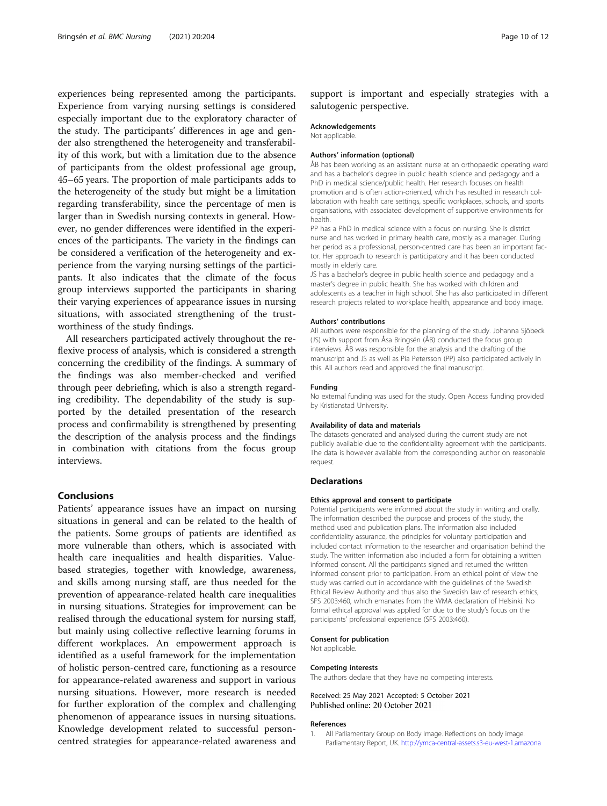<span id="page-9-0"></span>experiences being represented among the participants. Experience from varying nursing settings is considered especially important due to the exploratory character of the study. The participants' differences in age and gender also strengthened the heterogeneity and transferability of this work, but with a limitation due to the absence of participants from the oldest professional age group, 45–65 years. The proportion of male participants adds to the heterogeneity of the study but might be a limitation regarding transferability, since the percentage of men is larger than in Swedish nursing contexts in general. However, no gender differences were identified in the experiences of the participants. The variety in the findings can be considered a verification of the heterogeneity and experience from the varying nursing settings of the participants. It also indicates that the climate of the focus group interviews supported the participants in sharing their varying experiences of appearance issues in nursing situations, with associated strengthening of the trustworthiness of the study findings.

All researchers participated actively throughout the reflexive process of analysis, which is considered a strength concerning the credibility of the findings. A summary of the findings was also member-checked and verified through peer debriefing, which is also a strength regarding credibility. The dependability of the study is supported by the detailed presentation of the research process and confirmability is strengthened by presenting the description of the analysis process and the findings in combination with citations from the focus group interviews.

# Conclusions

Patients' appearance issues have an impact on nursing situations in general and can be related to the health of the patients. Some groups of patients are identified as more vulnerable than others, which is associated with health care inequalities and health disparities. Valuebased strategies, together with knowledge, awareness, and skills among nursing staff, are thus needed for the prevention of appearance-related health care inequalities in nursing situations. Strategies for improvement can be realised through the educational system for nursing staff, but mainly using collective reflective learning forums in different workplaces. An empowerment approach is identified as a useful framework for the implementation of holistic person-centred care, functioning as a resource for appearance-related awareness and support in various nursing situations. However, more research is needed for further exploration of the complex and challenging phenomenon of appearance issues in nursing situations. Knowledge development related to successful personcentred strategies for appearance-related awareness and

support is important and especially strategies with a salutogenic perspective.

# Acknowledgements

Not applicable.

#### Authors' information (optional)

ÅB has been working as an assistant nurse at an orthopaedic operating ward and has a bachelor's degree in public health science and pedagogy and a PhD in medical science/public health. Her research focuses on health promotion and is often action-oriented, which has resulted in research collaboration with health care settings, specific workplaces, schools, and sports organisations, with associated development of supportive environments for health.

PP has a PhD in medical science with a focus on nursing. She is district nurse and has worked in primary health care, mostly as a manager. During her period as a professional, person-centred care has been an important factor. Her approach to research is participatory and it has been conducted mostly in elderly care.

JS has a bachelor's degree in public health science and pedagogy and a master's degree in public health. She has worked with children and adolescents as a teacher in high school. She has also participated in different research projects related to workplace health, appearance and body image.

#### Authors' contributions

All authors were responsible for the planning of the study. Johanna Sjöbeck (JS) with support from Åsa Bringsén (ÅB) conducted the focus group interviews. ÅB was responsible for the analysis and the drafting of the manuscript and JS as well as Pia Petersson (PP) also participated actively in this. All authors read and approved the final manuscript.

#### Funding

No external funding was used for the study. Open Access funding provided by Kristianstad University.

# Availability of data and materials

The datasets generated and analysed during the current study are not publicly available due to the confidentiality agreement with the participants. The data is however available from the corresponding author on reasonable request.

#### **Declarations**

#### Ethics approval and consent to participate

Potential participants were informed about the study in writing and orally. The information described the purpose and process of the study, the method used and publication plans. The information also included confidentiality assurance, the principles for voluntary participation and included contact information to the researcher and organisation behind the study. The written information also included a form for obtaining a written informed consent. All the participants signed and returned the written informed consent prior to participation. From an ethical point of view the study was carried out in accordance with the guidelines of the Swedish Ethical Review Authority and thus also the Swedish law of research ethics, SFS 2003:460, which emanates from the WMA declaration of Helsinki. No formal ethical approval was applied for due to the study's focus on the participants' professional experience (SFS 2003:460).

# Consent for publication

Not applicable.

#### Competing interests

The authors declare that they have no competing interests.

Received: 25 May 2021 Accepted: 5 October 2021 Published online: 20 October 2021

#### References

1. All Parliamentary Group on Body Image. Reflections on body image. Parliamentary Report, UK. [http://ymca-central-assets.s3-eu-west-1.amazona](http://ymca-central-assets.s3-eu-west-1.amazonaws.com/s3fs-public/APPG-Reflections-on-body-image.pdf)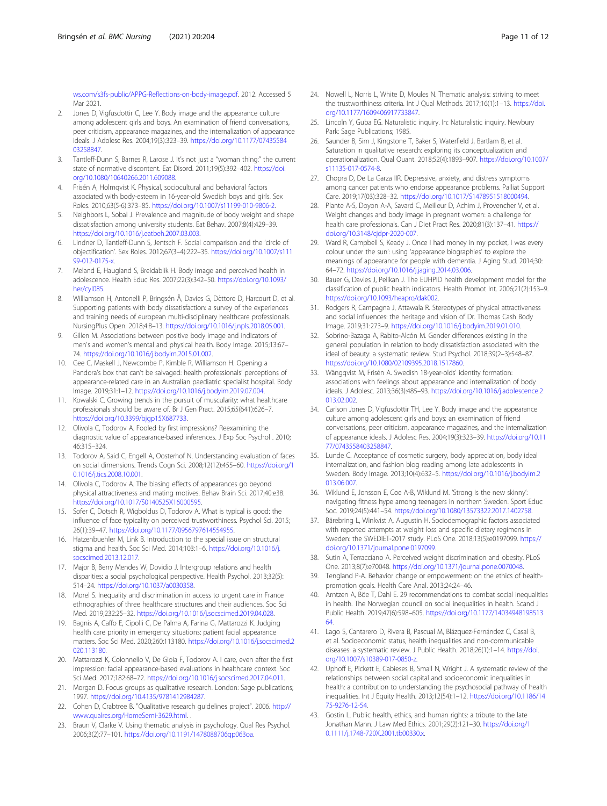<span id="page-10-0"></span>[ws.com/s3fs-public/APPG-Reflections-on-body-image.pdf.](http://ymca-central-assets.s3-eu-west-1.amazonaws.com/s3fs-public/APPG-Reflections-on-body-image.pdf) 2012. Accessed 5 Mar 2021.

- 2. Jones D, Vigfusdottir C, Lee Y. Body image and the appearance culture among adolescent girls and boys. An examination of friend conversations, peer criticism, appearance magazines, and the internalization of appearance ideals. J Adolesc Res. 2004;19(3):323–39. [https://doi.org/10.1177/07435584](https://doi.org/10.1177/0743558403258847) [03258847.](https://doi.org/10.1177/0743558403258847)
- 3. Tantleff-Dunn S, Barnes R, Larose J. It's not just a "woman thing:" the current state of normative discontent. Eat Disord. 2011;19(5):392–402. [https://doi.](https://doi.org/10.1080/10640266.2011.609088) [org/10.1080/10640266.2011.609088.](https://doi.org/10.1080/10640266.2011.609088)
- 4. Frisén A, Holmqvist K. Physical, sociocultural and behavioral factors associated with body-esteem in 16-year-old Swedish boys and girls. Sex Roles. 2010;63(5-6):373–85. [https://doi.org/10.1007/s11199-010-9806-2.](https://doi.org/10.1007/s11199-010-9806-2)
- 5. Neighbors L, Sobal J. Prevalence and magnitude of body weight and shape dissatisfaction among university students. Eat Behav. 2007;8(4):429–39. [https://doi.org/10.1016/j.eatbeh.2007.03.003.](https://doi.org/10.1016/j.eatbeh.2007.03.003)
- 6. Lindner D, Tantleff-Dunn S, Jentsch F. Social comparison and the 'circle of objectification'. Sex Roles. 2012;67(3–4):222–35. [https://doi.org/10.1007/s111](https://doi.org/10.1007/s11199-012-0175-x) [99-012-0175-x.](https://doi.org/10.1007/s11199-012-0175-x)
- 7. Meland E, Haugland S, Breidablik H. Body image and perceived health in adolescence. Health Educ Res. 2007;22(3):342–50. [https://doi.org/10.1093/](https://doi.org/10.1093/her/cyl085) [her/cyl085](https://doi.org/10.1093/her/cyl085).
- 8. Williamson H, Antonelli P, Bringsén Å, Davies G, Dèttore D, Harcourt D, et al. Supporting patients with body dissatisfaction: a survey of the experiences and training needs of european multi-disciplinary healthcare professionals. NursingPlus Open. 2018;4:8–13. [https://doi.org/10.1016/j.npls.2018.05.001.](https://doi.org/10.1016/j.npls.2018.05.001)
- 9. Gillen M. Associations between positive body image and indicators of men's and women's mental and physical health. Body Image. 2015;13:67– 74. [https://doi.org/10.1016/j.bodyim.2015.01.002.](https://doi.org/10.1016/j.bodyim.2015.01.002)
- 10. Gee C, Maskell J, Newcombe P, Kimble R, Williamson H. Opening a Pandora's box that can't be salvaged: health professionals' perceptions of appearance-related care in an Australian paediatric specialist hospital. Body Image. 2019;31:1–12. [https://doi.org/10.1016/j.bodyim.2019.07.004.](https://doi.org/10.1016/j.bodyim.2019.07.004)
- 11. Kowalski C. Growing trends in the pursuit of muscularity: what healthcare professionals should be aware of. Br J Gen Pract. 2015;65(641):626–7. <https://doi.org/10.3399/bjgp15X687733>.
- 12. Olivola C, Todorov A. Fooled by first impressions? Reexamining the diagnostic value of appearance-based inferences. J Exp Soc Psychol . 2010; 46:315–324.
- 13. Todorov A, Said C, Engell A, Oosterhof N. Understanding evaluation of faces on social dimensions. Trends Cogn Sci. 2008;12(12):455–60. [https://doi.org/1](https://doi.org/10.1016/j.tics.2008.10.001) [0.1016/j.tics.2008.10.001.](https://doi.org/10.1016/j.tics.2008.10.001)
- 14. Olivola C, Todorov A. The biasing effects of appearances go beyond physical attractiveness and mating motives. Behav Brain Sci. 2017;40:e38. <https://doi.org/10.1017/S0140525X16000595>.
- 15. Sofer C, Dotsch R, Wigboldus D, Todorov A. What is typical is good: the influence of face typicality on perceived trustworthiness. Psychol Sci. 2015; 26(1):39–47. <https://doi.org/10.1177/0956797614554955>.
- 16. Hatzenbuehler M, Link B. Introduction to the special issue on structural stigma and health. Soc Sci Med. 2014;103:1–6. [https://doi.org/10.1016/j.](https://doi.org/10.1016/j.socscimed.2013.12.017) [socscimed.2013.12.017.](https://doi.org/10.1016/j.socscimed.2013.12.017)
- 17. Major B, Berry Mendes W, Dovidio J. Intergroup relations and health disparities: a social psychological perspective. Health Psychol. 2013;32(5): 514–24. [https://doi.org/10.1037/a0030358.](https://doi.org/10.1037/a0030358)
- 18. Morel S. Inequality and discrimination in access to urgent care in France ethnographies of three healthcare structures and their audiences. Soc Sci Med. 2019;232:25–32. <https://doi.org/10.1016/j.socscimed.2019.04.028>.
- 19. Bagnis A, Caffo E, Cipolli C, De Palma A, Farina G, Mattarozzi K. Judging health care priority in emergency situations: patient facial appearance matters. Soc Sci Med. 2020;260:113180. [https://doi.org/10.1016/j.socscimed.2](https://doi.org/10.1016/j.socscimed.2020.113180) [020.113180.](https://doi.org/10.1016/j.socscimed.2020.113180)
- 20. Mattarozzi K, Colonnello V, De Gioia F, Todorov A. I care, even after the first impression: facial appearance-based evaluations in healthcare context. Soc Sci Med. 2017;182:68–72. <https://doi.org/10.1016/j.socscimed.2017.04.011>.
- 21. Morgan D. Focus groups as qualitative research. London: Sage publications; 1997. <https://doi.org/10.4135/9781412984287>.
- 22. Cohen D, Crabtree B. "Qualitative research guidelines project". 2006. [http://](http://www.qualres.org/HomeSemi-3629.html) [www.qualres.org/HomeSemi-3629.html](http://www.qualres.org/HomeSemi-3629.html). .
- 23. Braun V, Clarke V. Using thematic analysis in psychology. Qual Res Psychol. 2006;3(2):77–101. <https://doi.org/10.1191/1478088706qp063oa>.
- 24. Nowell L, Norris L, White D, Moules N. Thematic analysis: striving to meet the trustworthiness criteria. Int J Qual Methods. 2017;16(1):1–13. [https://doi.](https://doi.org/10.1177/1609406917733847) [org/10.1177/1609406917733847.](https://doi.org/10.1177/1609406917733847)
- 25. Lincoln Y, Guba EG. Naturalistic inquiry. In: Naturalistic inquiry. Newbury Park: Sage Publications; 1985.
- 26. Saunder B, Sim J, Kingstone T, Baker S, Waterfield J, Bartlam B, et al. Saturation in qualitative research: exploring its conceptualization and operationalization. Qual Quant. 2018;52(4):1893–907. [https://doi.org/10.1007/](https://doi.org/10.1007/s11135-017-0574-8) [s11135-017-0574-8.](https://doi.org/10.1007/s11135-017-0574-8)
- 27. Chopra D, De La Garza IIR. Depressive, anxiety, and distress symptoms among cancer patients who endorse appearance problems. Palliat Support Care. 2019;17(03):328–32. <https://doi.org/10.1017/S1478951518000494>.
- 28. Plante A-S, Doyon A-A, Savard C, Meilleur D, Achim J, Provencher V, et al. Weight changes and body image in pregnant women: a challenge for health care professionals. Can J Diet Pract Res. 2020;81(3):137–41. [https://](https://doi.org/10.3148/cjdpr-2020-007) [doi.org/10.3148/cjdpr-2020-007.](https://doi.org/10.3148/cjdpr-2020-007)
- 29. Ward R, Campbell S, Keady J. Once I had money in my pocket, I was every colour under the sun': using 'appearance biographies' to explore the meanings of appearance for people with dementia. J Aging Stud. 2014;30: 64–72. <https://doi.org/10.1016/j.jaging.2014.03.006>.
- 30. Bauer G, Davies J, Pelikan J. The EUHPID health development model for the classification of public health indicators. Health Promot Int. 2006;21(2):153–9. [https://doi.org/10.1093/heapro/dak002.](https://doi.org/10.1093/heapro/dak002)
- 31. Rodgers R, Campagna J, Attawala R. Stereotypes of physical attractiveness and social influences: the heritage and vision of Dr. Thomas Cash Body Image. 2019;31:273–9. <https://doi.org/10.1016/j.bodyim.2019.01.010>.
- 32. Sobrino-Bazaga A, Rabito-Alcón M. Gender differences existing in the general population in relation to body dissatisfaction associated with the ideal of beauty: a systematic review. Stud Psychol. 2018;39(2–3):548–87. <https://doi.org/10.1080/02109395.2018.1517860>.
- 33. Wängqvist M, Frisén A. Swedish 18-year-olds' identity formation: associations with feelings about appearance and internalization of body ideals. J Adolesc. 2013;36(3):485–93. [https://doi.org/10.1016/j.adolescence.2](https://doi.org/10.1016/j.adolescence.2013.02.002) [013.02.002](https://doi.org/10.1016/j.adolescence.2013.02.002).
- 34. Carlson Jones D, Vigfusdottir TH, Lee Y. Body image and the appearance culture among adolescent girls and boys: an examination of friend conversations, peer criticism, appearance magazines, and the internalization of appearance ideals. J Adolesc Res. 2004;19(3):323–39. [https://doi.org/10.11](https://doi.org/10.1177/0743558403258847) [77/0743558403258847.](https://doi.org/10.1177/0743558403258847)
- 35. Lunde C. Acceptance of cosmetic surgery, body appreciation, body ideal internalization, and fashion blog reading among late adolescents in Sweden. Body Image. 2013;10(4):632–5. [https://doi.org/10.1016/j.bodyim.2](https://doi.org/10.1016/j.bodyim.2013.06.007) [013.06.007](https://doi.org/10.1016/j.bodyim.2013.06.007).
- 36. Wiklund E, Jonsson E, Coe A-B, Wiklund M. 'Strong is the new skinny': navigating fitness hype among teenagers in northern Sweden. Sport Educ Soc. 2019;24(5):441–54. [https://doi.org/10.1080/13573322.2017.1402758.](https://doi.org/10.1080/13573322.2017.1402758)
- 37. Bärebring L, Winkvist A, Augustin H. Sociodemographic factors associated with reported attempts at weight loss and specific dietary regimens in Sweden: the SWEDIET-2017 study. PLoS One. 2018;13(5):e0197099. [https://](https://doi.org/10.1371/journal.pone.0197099) [doi.org/10.1371/journal.pone.0197099.](https://doi.org/10.1371/journal.pone.0197099)
- 38. Sutin A, Terracciano A. Perceived weight discrimination and obesity. PLoS One. 2013;8(7):e70048. <https://doi.org/10.1371/journal.pone.0070048>.
- 39. Tengland P-A. Behavior change or empowerment: on the ethics of healthpromotion goals. Health Care Anal. 2013;24:24–46.
- 40. Arntzen A, Böe T, Dahl E. 29 recommendations to combat social inequalities in health. The Norwegian council on social inequalities in health. Scand J Public Health. 2019;47(6):598–605. [https://doi.org/10.1177/14034948198513](https://doi.org/10.1177/1403494819851364) [64.](https://doi.org/10.1177/1403494819851364)
- 41. Lago S, Cantarero D, Rivera B, Pascual M, Blázquez-Fernández C, Casal B, et al. Socioeconomic status, health inequalities and non-communicable diseases: a systematic review. J Public Health. 2018;26(1):1–14. [https://doi.](https://doi.org/10.1007/s10389-017-0850-z) [org/10.1007/s10389-017-0850-z.](https://doi.org/10.1007/s10389-017-0850-z)
- 42. Uphoff E, Pickett E, Cabieses B, Small N, Wright J. A systematic review of the relationships between social capital and socioeconomic inequalities in health: a contribution to understanding the psychosocial pathway of health inequalities. Int J Equity Health. 2013;12(54):1–12. [https://doi.org/10.1186/14](https://doi.org/10.1186/1475-9276-12-54) [75-9276-12-54](https://doi.org/10.1186/1475-9276-12-54).
- 43. Gostin L. Public health, ethics, and human rights: a tribute to the late Jonathan Mann. J Law Med Ethics. 2001;29(2):121–30. [https://doi.org/1](https://doi.org/10.1111/j.1748-720X.2001.tb00330.x) [0.1111/j.1748-720X.2001.tb00330.x](https://doi.org/10.1111/j.1748-720X.2001.tb00330.x).